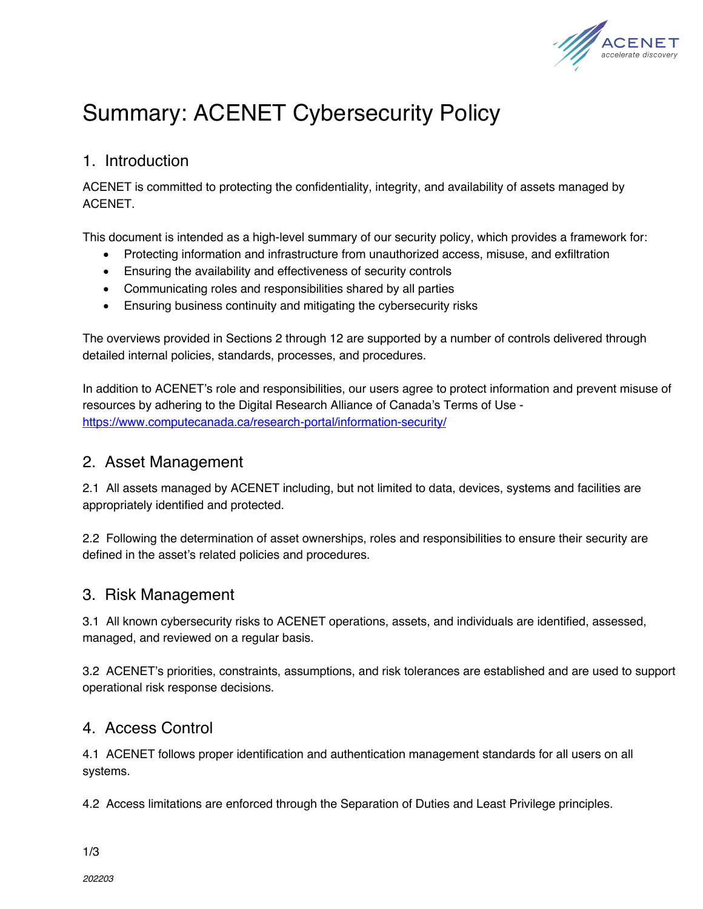

# Summary: ACENET Cybersecurity Policy

#### 1. Introduction

ACENET is committed to protecting the confidentiality, integrity, and availability of assets managed by ACENET.

This document is intended as a high-level summary of our security policy, which provides a framework for:

- Protecting information and infrastructure from unauthorized access, misuse, and exfiltration
- Ensuring the availability and effectiveness of security controls
- Communicating roles and responsibilities shared by all parties
- Ensuring business continuity and mitigating the cybersecurity risks

The overviews provided in Sections 2 through 12 are supported by a number of controls delivered through detailed internal policies, standards, processes, and procedures.

In addition to ACENET's role and responsibilities, our users agree to protect information and prevent misuse of resources by adhering to the Digital Research Alliance of Canada's Terms of Use https://www.computecanada.ca/research-portal/information-security/

#### 2. Asset Management

2.1 All assets managed by ACENET including, but not limited to data, devices, systems and facilities are appropriately identified and protected.

2.2 Following the determination of asset ownerships, roles and responsibilities to ensure their security are defined in the asset's related policies and procedures.

## 3. Risk Management

3.1 All known cybersecurity risks to ACENET operations, assets, and individuals are identified, assessed, managed, and reviewed on a regular basis.

3.2 ACENET's priorities, constraints, assumptions, and risk tolerances are established and are used to support operational risk response decisions.

## 4. Access Control

4.1 ACENET follows proper identification and authentication management standards for all users on all systems.

4.2 Access limitations are enforced through the Separation of Duties and Least Privilege principles.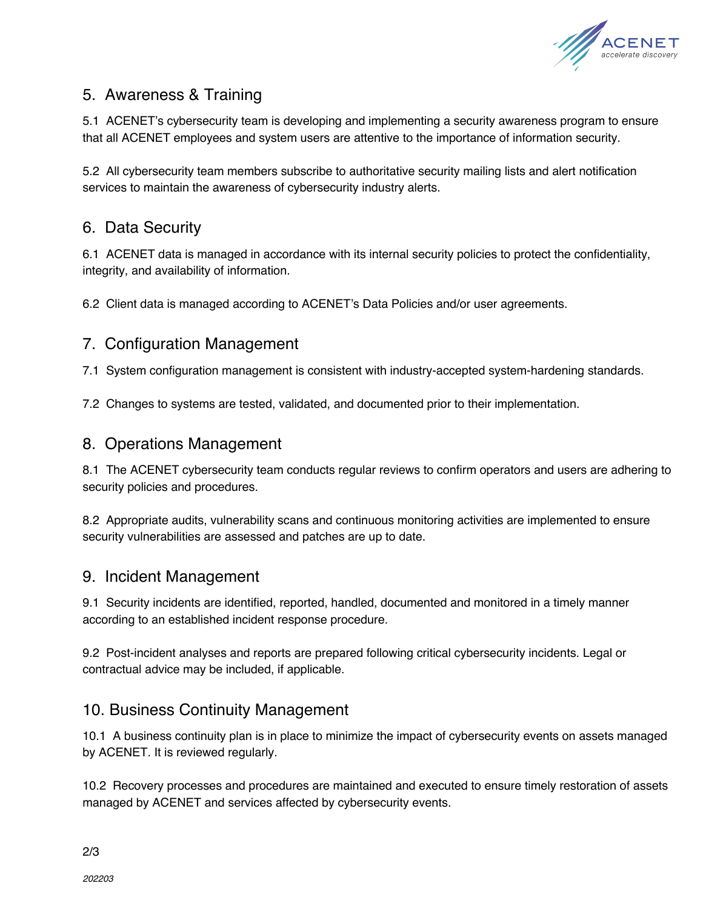

# 5. Awareness & Training

5.1 ACENET's cybersecurity team is developing and implementing a security awareness program to ensure that all ACENET employees and system users are attentive to the importance of information security.

5.2 All cybersecurity team members subscribe to authoritative security mailing lists and alert notification services to maintain the awareness of cybersecurity industry alerts.

## 6. Data Security

6.1 ACENET data is managed in accordance with its internal security policies to protect the confidentiality, integrity, and availability of information.

6.2 Client data is managed according to ACENET's Data Policies and/or user agreements.

#### 7. Configuration Management

7.1 System configuration management is consistent with industry-accepted system-hardening standards.

7.2 Changes to systems are tested, validated, and documented prior to their implementation.

#### 8. Operations Management

8.1 The ACENET cybersecurity team conducts regular reviews to confirm operators and users are adhering to security policies and procedures.

8.2 Appropriate audits, vulnerability scans and continuous monitoring activities are implemented to ensure security vulnerabilities are assessed and patches are up to date.

#### 9. Incident Management

9.1 Security incidents are identified, reported, handled, documented and monitored in a timely manner according to an established incident response procedure.

9.2 Post-incident analyses and reports are prepared following critical cybersecurity incidents. Legal or contractual advice may be included, if applicable.

## 10. Business Continuity Management

10.1 A business continuity plan is in place to minimize the impact of cybersecurity events on assets managed by ACENET. It is reviewed regularly.

10.2 Recovery processes and procedures are maintained and executed to ensure timely restoration of assets managed by ACENET and services affected by cybersecurity events.